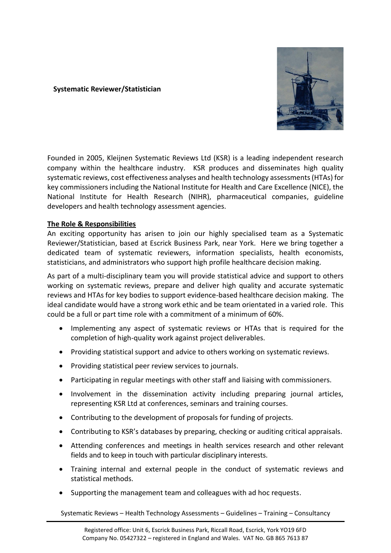## **Systematic Reviewer/Statistician**



Founded in 2005, Kleijnen Systematic Reviews Ltd (KSR) is a leading independent research company within the healthcare industry. KSR produces and disseminates high quality systematic reviews, cost effectiveness analyses and health technology assessments(HTAs) for key commissioners including the National Institute for Health and Care Excellence (NICE), the National Institute for Health Research (NIHR), pharmaceutical companies, guideline developers and health technology assessment agencies.

# **The Role & Responsibilities**

An exciting opportunity has arisen to join our highly specialised team as a Systematic Reviewer/Statistician, based at Escrick Business Park, near York. Here we bring together a dedicated team of systematic reviewers, information specialists, health economists, statisticians, and administrators who support high profile healthcare decision making.

As part of a multi-disciplinary team you will provide statistical advice and support to others working on systematic reviews, prepare and deliver high quality and accurate systematic reviews and HTAs for key bodies to support evidence-based healthcare decision making. The ideal candidate would have a strong work ethic and be team orientated in a varied role. This could be a full or part time role with a commitment of a minimum of 60%.

- Implementing any aspect of systematic reviews or HTAs that is required for the completion of high-quality work against project deliverables.
- Providing statistical support and advice to others working on systematic reviews.
- Providing statistical peer review services to journals.
- Participating in regular meetings with other staff and liaising with commissioners.
- Involvement in the dissemination activity including preparing journal articles, representing KSR Ltd at conferences, seminars and training courses.
- Contributing to the development of proposals for funding of projects.
- Contributing to KSR's databases by preparing, checking or auditing critical appraisals.
- Attending conferences and meetings in health services research and other relevant fields and to keep in touch with particular disciplinary interests.
- Training internal and external people in the conduct of systematic reviews and statistical methods.
- Supporting the management team and colleagues with ad hoc requests.

Systematic Reviews – Health Technology Assessments – Guidelines – Training – Consultancy